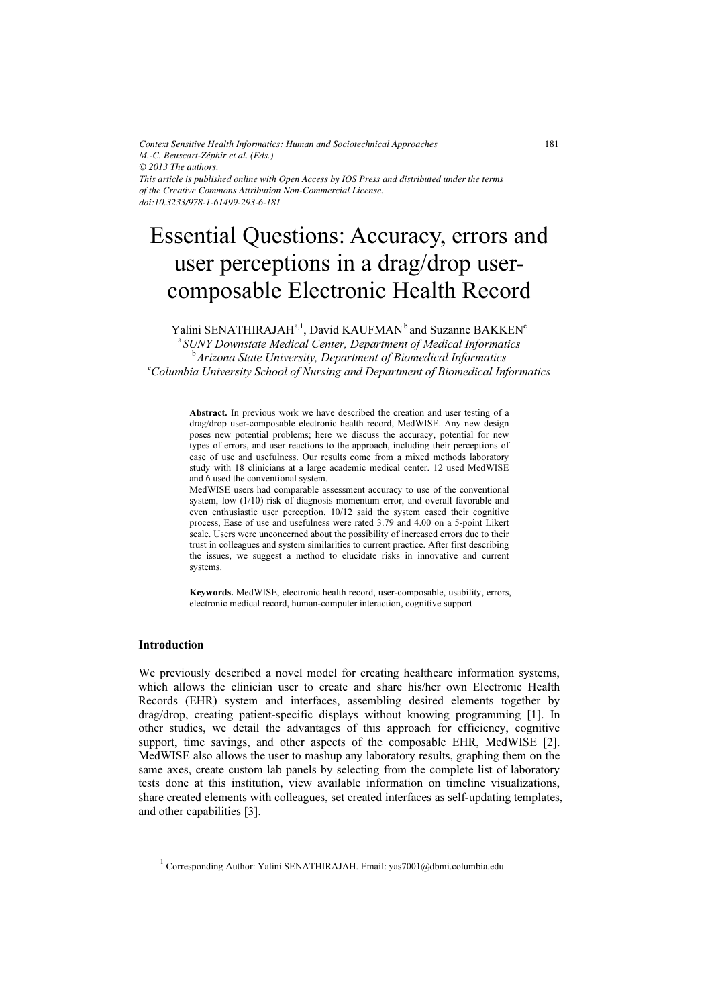*Context Sensitive Health Informatics: Human and Sociotechnical Approaches M.-C. Beuscart-Zéphir et al. (Eds.) © 2013 The authors. This article is published online with Open Access by IOS Press and distributed under the terms of the Creative Commons Attribution Non-Commercial License. doi:10.3233/978-1-61499-293-6-181* 

# Essential Questions: Accuracy, errors and user perceptions in a drag/drop usercomposable Electronic Health Record

Yalini SENATHIRAJAH<sup>a, 1</sup>, David KAUFMAN<sup>b</sup> and Suzanne BAKKEN<sup>c</sup>

<sup>a</sup> SUNY Downstate Medical Center, Department of Medical Informatics <sup>b</sup> Arizona State University, Department of Biomedical Informatics<br>Columbia University School of Nunsing and Department of Biomedical Info  $c$ Columbia University School of Nursing and Department of Biomedical Informatics

Abstract. In previous work we have described the creation and user testing of a drag/drop user-composable electronic health record, MedWISE. Any new design poses new potential problems; here we discuss the accuracy, potential for new types of errors, and user reactions to the approach, including their perceptions of ease of use and usefulness. Our results come from a mixed methods laboratory study with 18 clinicians at a large academic medical center. 12 used MedWISE and 6 used the conventional system.

MedWISE users had comparable assessment accuracy to use of the conventional system, low (1/10) risk of diagnosis momentum error, and overall favorable and even enthusiastic user perception. 10/12 said the system eased their cognitive process, Ease of use and usefulness were rated 3.79 and 4.00 on a 5-point Likert scale. Users were unconcerned about the possibility of increased errors due to their trust in colleagues and system similarities to current practice. After first describing the issues, we suggest a method to elucidate risks in innovative and current systems.

Keywords. MedWISE, electronic health record, user-composable, usability, errors, electronic medical record, human-computer interaction, cognitive support

# Introduction

-

We previously described a novel model for creating healthcare information systems, which allows the clinician user to create and share his/her own Electronic Health Records (EHR) system and interfaces, assembling desired elements together by drag/drop, creating patient-specific displays without knowing programming [1]. In other studies, we detail the advantages of this approach for efficiency, cognitive support, time savings, and other aspects of the composable EHR, MedWISE [2]. MedWISE also allows the user to mashup any laboratory results, graphing them on the same axes, create custom lab panels by selecting from the complete list of laboratory tests done at this institution, view available information on timeline visualizations, share created elements with colleagues, set created interfaces as self-updating templates, and other capabilities [3].

<sup>&</sup>lt;sup>1</sup> Corresponding Author: Yalini SENATHIRAJAH. Email: yas7001@dbmi.columbia.edu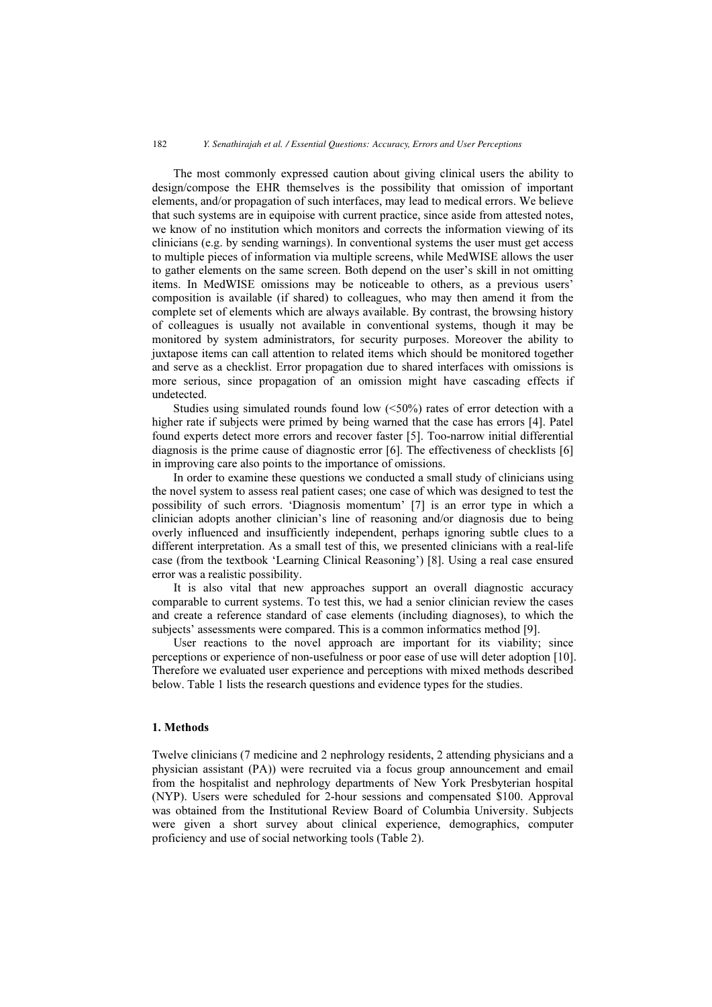The most commonly expressed caution about giving clinical users the ability to design/compose the EHR themselves is the possibility that omission of important elements, and/or propagation of such interfaces, may lead to medical errors. We believe that such systems are in equipoise with current practice, since aside from attested notes, we know of no institution which monitors and corrects the information viewing of its clinicians (e.g. by sending warnings). In conventional systems the user must get access to multiple pieces of information via multiple screens, while MedWISE allows the user to gather elements on the same screen. Both depend on the user's skill in not omitting items. In MedWISE omissions may be noticeable to others, as a previous users' composition is available (if shared) to colleagues, who may then amend it from the complete set of elements which are always available. By contrast, the browsing history of colleagues is usually not available in conventional systems, though it may be monitored by system administrators, for security purposes. Moreover the ability to juxtapose items can call attention to related items which should be monitored together and serve as a checklist. Error propagation due to shared interfaces with omissions is more serious, since propagation of an omission might have cascading effects if undetected.

Studies using simulated rounds found low (<50%) rates of error detection with a higher rate if subjects were primed by being warned that the case has errors [4]. Patel found experts detect more errors and recover faster [5]. Too-narrow initial differential diagnosis is the prime cause of diagnostic error [6]. The effectiveness of checklists [6] in improving care also points to the importance of omissions.

In order to examine these questions we conducted a small study of clinicians using the novel system to assess real patient cases; one case of which was designed to test the possibility of such errors. 'Diagnosis momentum' [7] is an error type in which a clinician adopts another clinician's line of reasoning and/or diagnosis due to being overly influenced and insufficiently independent, perhaps ignoring subtle clues to a different interpretation. As a small test of this, we presented clinicians with a real-life case (from the textbook 'Learning Clinical Reasoning') [8]. Using a real case ensured error was a realistic possibility.

It is also vital that new approaches support an overall diagnostic accuracy comparable to current systems. To test this, we had a senior clinician review the cases and create a reference standard of case elements (including diagnoses), to which the subjects' assessments were compared. This is a common informatics method [9].

User reactions to the novel approach are important for its viability; since perceptions or experience of non-usefulness or poor ease of use will deter adoption [10]. Therefore we evaluated user experience and perceptions with mixed methods described below. Table 1 lists the research questions and evidence types for the studies.

## 1. Methods

Twelve clinicians (7 medicine and 2 nephrology residents, 2 attending physicians and a physician assistant (PA)) were recruited via a focus group announcement and email from the hospitalist and nephrology departments of New York Presbyterian hospital (NYP). Users were scheduled for 2-hour sessions and compensated \$100. Approval was obtained from the Institutional Review Board of Columbia University. Subjects were given a short survey about clinical experience, demographics, computer proficiency and use of social networking tools (Table 2).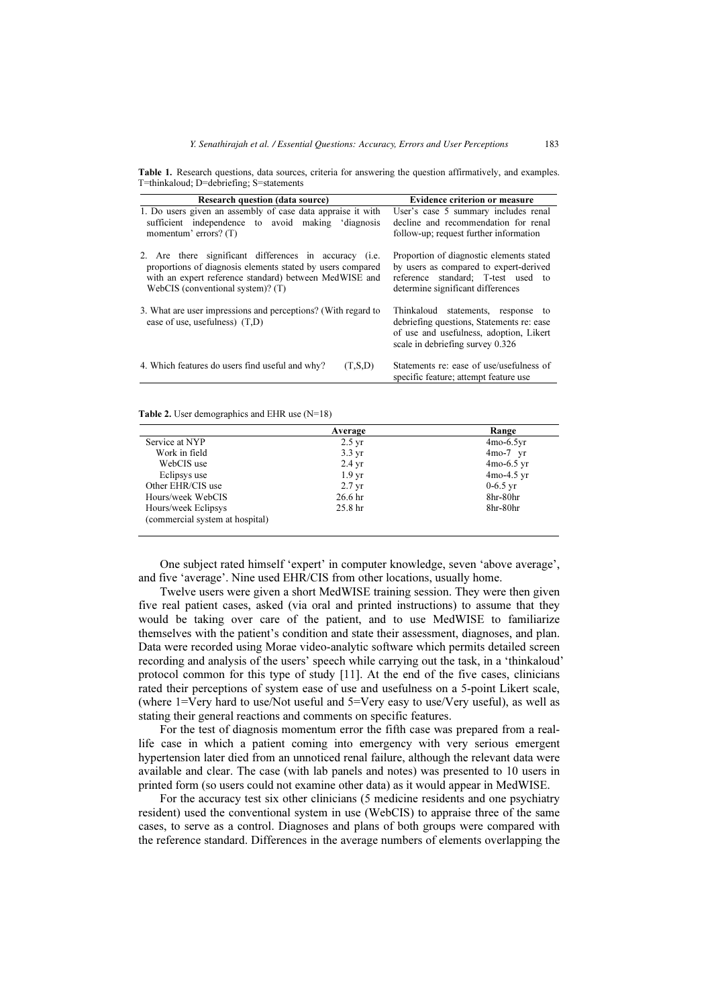| <b>Research question (data source)</b>                                                            | <b>Evidence criterion or measure</b>                                                                                                                           |
|---------------------------------------------------------------------------------------------------|----------------------------------------------------------------------------------------------------------------------------------------------------------------|
| 1. Do users given an assembly of case data appraise it with                                       | User's case 5 summary includes renal                                                                                                                           |
| sufficient independence to avoid making 'diagnosis                                                | decline and recommendation for renal                                                                                                                           |
| momentum' errors? (T)                                                                             | follow-up; request further information                                                                                                                         |
| 2. Are there significant differences in accuracy (i.e.                                            | Proportion of diagnostic elements stated                                                                                                                       |
| proportions of diagnosis elements stated by users compared                                        | by users as compared to expert-derived                                                                                                                         |
| with an expert reference standard) between MedWISE and                                            | reference standard; T-test used to                                                                                                                             |
| WebCIS (conventional system)? $(T)$                                                               | determine significant differences                                                                                                                              |
| 3. What are user impressions and perceptions? (With regard to<br>ease of use, usefulness) $(T,D)$ | Thinkaloud statements, response to<br>debriefing questions, Statements re: ease<br>of use and usefulness, adoption, Likert<br>scale in debriefing survey 0.326 |
| 4. Which features do users find useful and why?                                                   | Statements re: ease of use/usefulness of                                                                                                                       |
| (T.S.D)                                                                                           | specific feature; attempt feature use                                                                                                                          |

Table 1. Research questions, data sources, criteria for answering the question affirmatively, and examples. T=thinkaloud; D=debriefing; S=statements

Table 2. User demographics and EHR use (N=18)

|                                 | Average            | Range        |
|---------------------------------|--------------------|--------------|
| Service at NYP                  | $2.5 \text{ yr}$   | $4mo-6.5vr$  |
| Work in field                   | $3.3 \text{ yr}$   | $4mo-7$ yr   |
| WebCIS use                      | $2.4 \text{ yr}$   | $4mo-6.5$ yr |
| Eclipsys use                    | 1.9 <sub>vr</sub>  | $4mo-4.5$ yr |
| Other EHR/CIS use               | $2.7 \text{ yr}$   | $0-6.5$ yr   |
| Hours/week WebCIS               | 26.6 <sub>hr</sub> | 8hr-80hr     |
| Hours/week Eclipsys             | 25.8 <sub>hr</sub> | 8hr-80hr     |
| (commercial system at hospital) |                    |              |

One subject rated himself 'expert' in computer knowledge, seven 'above average', and five 'average'. Nine used EHR/CIS from other locations, usually home.

Twelve users were given a short MedWISE training session. They were then given five real patient cases, asked (via oral and printed instructions) to assume that they would be taking over care of the patient, and to use MedWISE to familiarize themselves with the patient's condition and state their assessment, diagnoses, and plan. Data were recorded using Morae video-analytic software which permits detailed screen recording and analysis of the users' speech while carrying out the task, in a 'thinkaloud' protocol common for this type of study [11]. At the end of the five cases, clinicians rated their perceptions of system ease of use and usefulness on a 5-point Likert scale, (where 1=Very hard to use/Not useful and 5=Very easy to use/Very useful), as well as stating their general reactions and comments on specific features.

For the test of diagnosis momentum error the fifth case was prepared from a reallife case in which a patient coming into emergency with very serious emergent hypertension later died from an unnoticed renal failure, although the relevant data were available and clear. The case (with lab panels and notes) was presented to 10 users in printed form (so users could not examine other data) as it would appear in MedWISE.

For the accuracy test six other clinicians (5 medicine residents and one psychiatry resident) used the conventional system in use (WebCIS) to appraise three of the same cases, to serve as a control. Diagnoses and plans of both groups were compared with the reference standard. Differences in the average numbers of elements overlapping the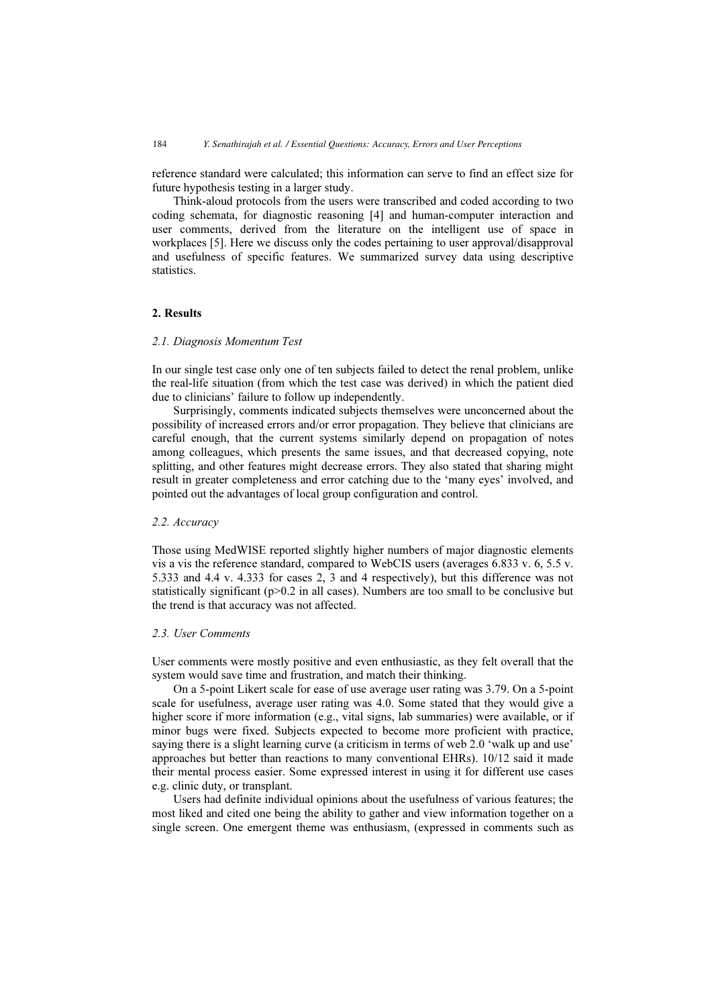reference standard were calculated; this information can serve to find an effect size for future hypothesis testing in a larger study.

Think-aloud protocols from the users were transcribed and coded according to two coding schemata, for diagnostic reasoning [4] and human-computer interaction and user comments, derived from the literature on the intelligent use of space in workplaces [5]. Here we discuss only the codes pertaining to user approval/disapproval and usefulness of specific features. We summarized survey data using descriptive statistics.

# 2. Results

#### 2.1. Diagnosis Momentum Test

In our single test case only one of ten subjects failed to detect the renal problem, unlike the real-life situation (from which the test case was derived) in which the patient died due to clinicians' failure to follow up independently.

Surprisingly, comments indicated subjects themselves were unconcerned about the possibility of increased errors and/or error propagation. They believe that clinicians are careful enough, that the current systems similarly depend on propagation of notes among colleagues, which presents the same issues, and that decreased copying, note splitting, and other features might decrease errors. They also stated that sharing might result in greater completeness and error catching due to the 'many eyes' involved, and pointed out the advantages of local group configuration and control.

#### 2.2. Accuracy

Those using MedWISE reported slightly higher numbers of major diagnostic elements vis a vis the reference standard, compared to WebCIS users (averages 6.833 v. 6, 5.5 v. 5.333 and 4.4 v. 4.333 for cases 2, 3 and 4 respectively), but this difference was not statistically significant ( $p>0.2$  in all cases). Numbers are too small to be conclusive but the trend is that accuracy was not affected.

## 2.3. User Comments

User comments were mostly positive and even enthusiastic, as they felt overall that the system would save time and frustration, and match their thinking.

On a 5-point Likert scale for ease of use average user rating was 3.79. On a 5-point scale for usefulness, average user rating was 4.0. Some stated that they would give a higher score if more information (e.g., vital signs, lab summaries) were available, or if minor bugs were fixed. Subjects expected to become more proficient with practice, saying there is a slight learning curve (a criticism in terms of web 2.0 'walk up and use' approaches but better than reactions to many conventional EHRs). 10/12 said it made their mental process easier. Some expressed interest in using it for different use cases e.g. clinic duty, or transplant.

Users had definite individual opinions about the usefulness of various features; the most liked and cited one being the ability to gather and view information together on a single screen. One emergent theme was enthusiasm, (expressed in comments such as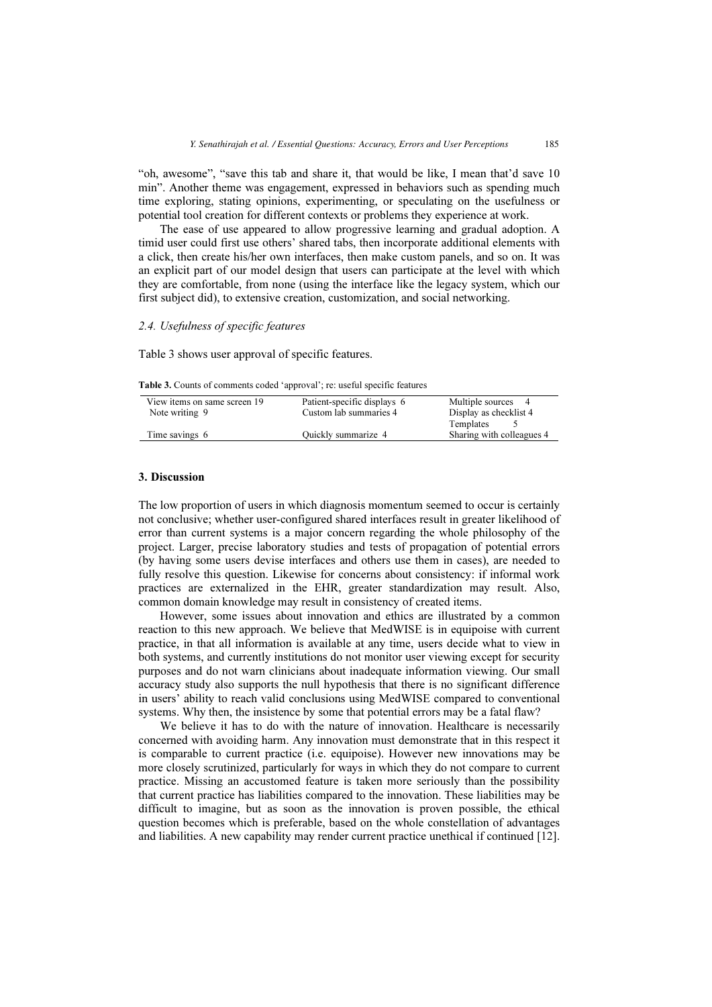"oh, awesome", "save this tab and share it, that would be like, I mean that'd save 10 min". Another theme was engagement, expressed in behaviors such as spending much time exploring, stating opinions, experimenting, or speculating on the usefulness or potential tool creation for different contexts or problems they experience at work.

The ease of use appeared to allow progressive learning and gradual adoption. A timid user could first use others' shared tabs, then incorporate additional elements with a click, then create his/her own interfaces, then make custom panels, and so on. It was an explicit part of our model design that users can participate at the level with which they are comfortable, from none (using the interface like the legacy system, which our first subject did), to extensive creation, customization, and social networking.

## 2.4. Usefulness of specific features

Table 3 shows user approval of specific features.

| View items on same screen 19 | Patient-specific displays 6 | Multiple sources<br>4     |
|------------------------------|-----------------------------|---------------------------|
| Note writing 9               | Custom lab summaries 4      | Display as checklist 4    |
|                              |                             | Templates                 |
| Time savings 6               | Quickly summarize 4         | Sharing with colleagues 4 |
|                              |                             |                           |

Table 3. Counts of comments coded 'approval'; re: useful specific features

# 3. Discussion

The low proportion of users in which diagnosis momentum seemed to occur is certainly not conclusive; whether user-configured shared interfaces result in greater likelihood of error than current systems is a major concern regarding the whole philosophy of the project. Larger, precise laboratory studies and tests of propagation of potential errors (by having some users devise interfaces and others use them in cases), are needed to fully resolve this question. Likewise for concerns about consistency: if informal work practices are externalized in the EHR, greater standardization may result. Also, common domain knowledge may result in consistency of created items.

However, some issues about innovation and ethics are illustrated by a common reaction to this new approach. We believe that MedWISE is in equipoise with current practice, in that all information is available at any time, users decide what to view in both systems, and currently institutions do not monitor user viewing except for security purposes and do not warn clinicians about inadequate information viewing. Our small accuracy study also supports the null hypothesis that there is no significant difference in users' ability to reach valid conclusions using MedWISE compared to conventional systems. Why then, the insistence by some that potential errors may be a fatal flaw?

We believe it has to do with the nature of innovation. Healthcare is necessarily concerned with avoiding harm. Any innovation must demonstrate that in this respect it is comparable to current practice (i.e. equipoise). However new innovations may be more closely scrutinized, particularly for ways in which they do not compare to current practice. Missing an accustomed feature is taken more seriously than the possibility that current practice has liabilities compared to the innovation. These liabilities may be difficult to imagine, but as soon as the innovation is proven possible, the ethical question becomes which is preferable, based on the whole constellation of advantages and liabilities. A new capability may render current practice unethical if continued [12].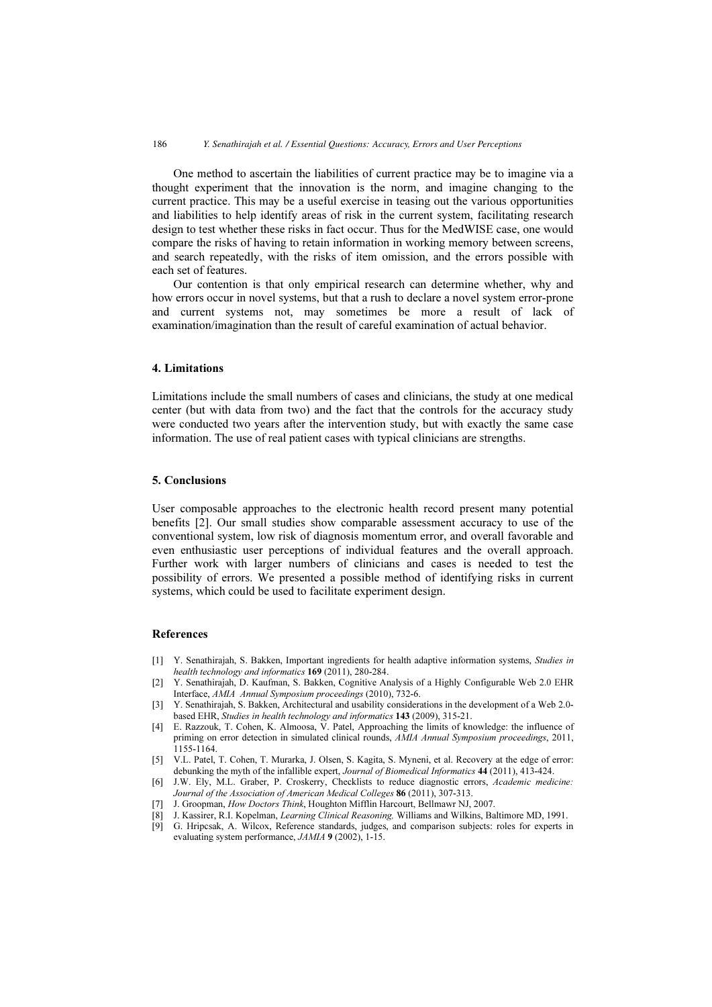One method to ascertain the liabilities of current practice may be to imagine via a thought experiment that the innovation is the norm, and imagine changing to the current practice. This may be a useful exercise in teasing out the various opportunities and liabilities to help identify areas of risk in the current system, facilitating research design to test whether these risks in fact occur. Thus for the MedWISE case, one would compare the risks of having to retain information in working memory between screens, and search repeatedly, with the risks of item omission, and the errors possible with each set of features.

Our contention is that only empirical research can determine whether, why and how errors occur in novel systems, but that a rush to declare a novel system error-prone and current systems not, may sometimes be more a result of lack of examination/imagination than the result of careful examination of actual behavior.

# 4. Limitations

Limitations include the small numbers of cases and clinicians, the study at one medical center (but with data from two) and the fact that the controls for the accuracy study were conducted two years after the intervention study, but with exactly the same case information. The use of real patient cases with typical clinicians are strengths.

## 5. Conclusions

User composable approaches to the electronic health record present many potential benefits [2]. Our small studies show comparable assessment accuracy to use of the conventional system, low risk of diagnosis momentum error, and overall favorable and even enthusiastic user perceptions of individual features and the overall approach. Further work with larger numbers of clinicians and cases is needed to test the possibility of errors. We presented a possible method of identifying risks in current systems, which could be used to facilitate experiment design.

#### References

- [1] Y. Senathirajah, S. Bakken, Important ingredients for health adaptive information systems, Studies in health technology and informatics 169 (2011), 280-284.
- [2] Y. Senathirajah, D. Kaufman, S. Bakken, Cognitive Analysis of a Highly Configurable Web 2.0 EHR Interface, AMIA Annual Symposium proceedings (2010), 732-6.
- [3] Y. Senathirajah, S. Bakken, Architectural and usability considerations in the development of a Web 2.0 based EHR, Studies in health technology and informatics 143 (2009), 315-21.
- [4] E. Razzouk, T. Cohen, K. Almoosa, V. Patel, Approaching the limits of knowledge: the influence of priming on error detection in simulated clinical rounds, AMIA Annual Symposium proceedings, 2011, 1155-1164.
- [5] V.L. Patel, T. Cohen, T. Murarka, J. Olsen, S. Kagita, S. Myneni, et al. Recovery at the edge of error: debunking the myth of the infallible expert, Journal of Biomedical Informatics 44 (2011), 413-424.
- [6] J.W. Ely, M.L. Graber, P. Croskerry, Checklists to reduce diagnostic errors, Academic medicine: Journal of the Association of American Medical Colleges 86 (2011), 307-313.
- [7] J. Groopman, How Doctors Think, Houghton Mifflin Harcourt, Bellmawr NJ, 2007.
- [8] J. Kassirer, R.I. Kopelman, Learning Clinical Reasoning, Williams and Wilkins, Baltimore MD, 1991.
- [9] G. Hripcsak, A. Wilcox, Reference standards, judges, and comparison subjects: roles for experts in evaluating system performance, JAMIA 9 (2002), 1-15.